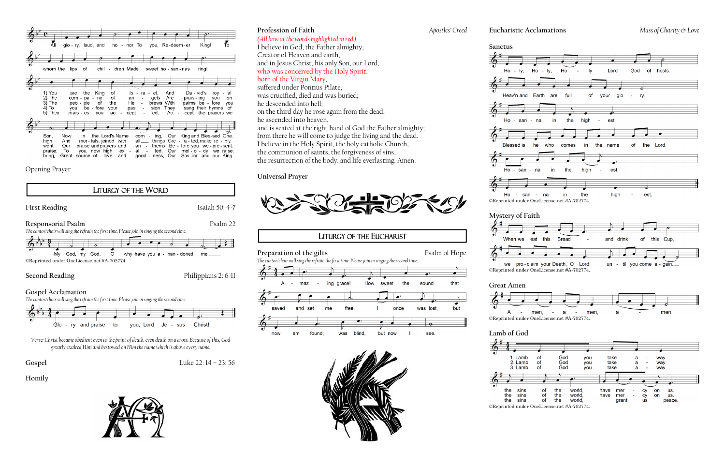

Opening Prayer



Glo - ry and praise to you, Lord Je - sus Christ!

*Verse: Christ became obedient even to the point of death, even death on a cross. Because of this, God greatly exalted Him and bestowed on Him the name which is above every name.*

**Gospel** Luke 22: 14 – 23: 56

## **Homily**



## **Profession of Faith** *Apostles' Creed*

# *(All bow at the words highlighted in red.)*

I believe in God, the Father almighty, Creator of Heaven and earth, and in Jesus Christ, his only Son, our Lord, who was conceived by the Holy Spirit, born of the Virgin Mary,

suffered under Pontius Pilate, was crucified, died and was buried; he descended into hell; on the third day he rose again from the dead; he ascended into heaven,

and is seated at the right hand of God the Father almighty; from there he will come to judge the living and the dead. I believe in the Holy Spirit, the holy catholic Church, the communion of saints, the forgiveness of sins, the resurrection of the body, and life everlasting. Amen.

### **Universal Prayer**



# **LITURGY OF THE EUCHARIST**

**Preparation of the gifts** Psalm of Hope

 $\overline{ }$ 

*The cantor/choir will sing the refrain the first time. Please join in singing the second time.*





# **Sanctus**







| Α                |  |
|------------------|--|
| ©Reprinted under |  |